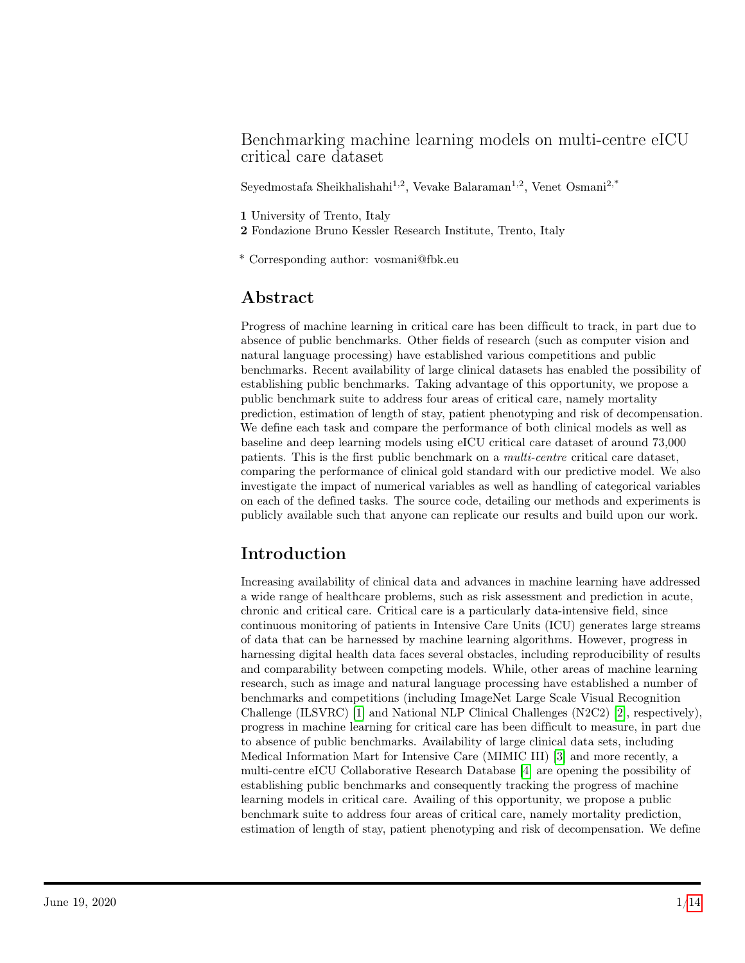### Benchmarking machine learning models on multi-centre eICU critical care dataset

Seyedmostafa Sheikhalishahi<sup>1,2</sup>, Vevake Balaraman<sup>1,2</sup>, Venet Osmani<sup>2,\*</sup>

- 1 University of Trento, Italy
- 2 Fondazione Bruno Kessler Research Institute, Trento, Italy
- \* Corresponding author: vosmani@fbk.eu

## Abstract

Progress of machine learning in critical care has been difficult to track, in part due to absence of public benchmarks. Other fields of research (such as computer vision and natural language processing) have established various competitions and public benchmarks. Recent availability of large clinical datasets has enabled the possibility of establishing public benchmarks. Taking advantage of this opportunity, we propose a public benchmark suite to address four areas of critical care, namely mortality prediction, estimation of length of stay, patient phenotyping and risk of decompensation. We define each task and compare the performance of both clinical models as well as baseline and deep learning models using eICU critical care dataset of around 73,000 patients. This is the first public benchmark on a multi-centre critical care dataset, comparing the performance of clinical gold standard with our predictive model. We also investigate the impact of numerical variables as well as handling of categorical variables on each of the defined tasks. The source code, detailing our methods and experiments is publicly available such that anyone can replicate our results and build upon our work.

# Introduction

Increasing availability of clinical data and advances in machine learning have addressed a wide range of healthcare problems, such as risk assessment and prediction in acute, chronic and critical care. Critical care is a particularly data-intensive field, since continuous monitoring of patients in Intensive Care Units (ICU) generates large streams of data that can be harnessed by machine learning algorithms. However, progress in harnessing digital health data faces several obstacles, including reproducibility of results and comparability between competing models. While, other areas of machine learning research, such as image and natural language processing have established a number of benchmarks and competitions (including ImageNet Large Scale Visual Recognition Challenge (ILSVRC) [\[1\]](#page-10-0) and National NLP Clinical Challenges (N2C2) [\[2\]](#page-10-1), respectively), progress in machine learning for critical care has been difficult to measure, in part due to absence of public benchmarks. Availability of large clinical data sets, including Medical Information Mart for Intensive Care (MIMIC III) [\[3\]](#page-10-2) and more recently, a multi-centre eICU Collaborative Research Database [\[4\]](#page-10-3) are opening the possibility of establishing public benchmarks and consequently tracking the progress of machine learning models in critical care. Availing of this opportunity, we propose a public benchmark suite to address four areas of critical care, namely mortality prediction, estimation of length of stay, patient phenotyping and risk of decompensation. We define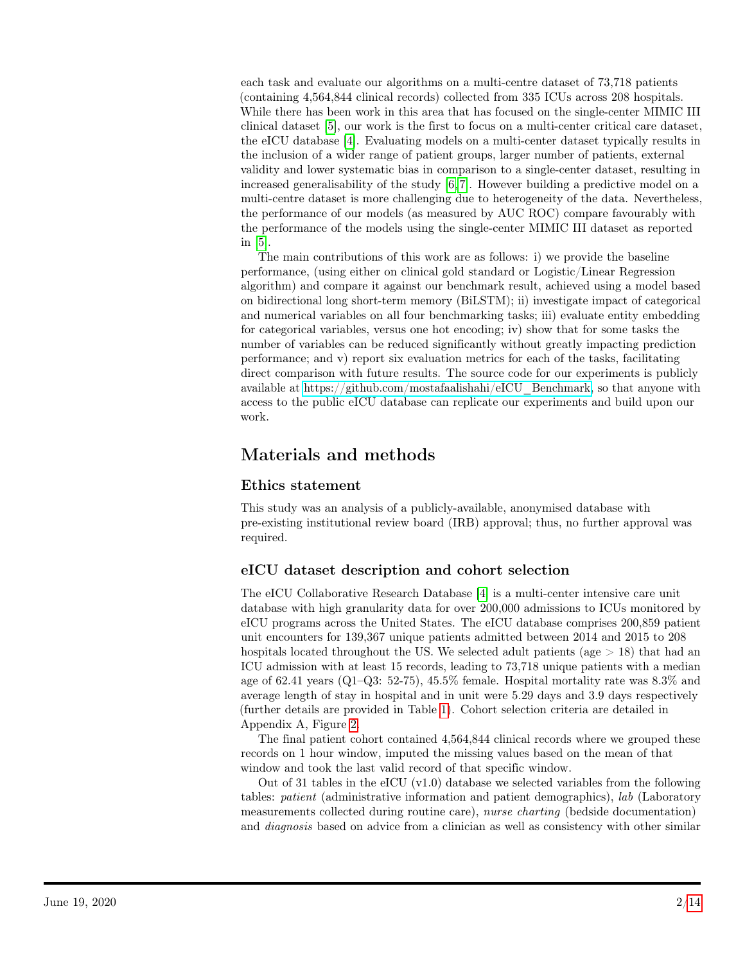each task and evaluate our algorithms on a multi-centre dataset of 73,718 patients (containing 4,564,844 clinical records) collected from 335 ICUs across 208 hospitals. While there has been work in this area that has focused on the single-center MIMIC III clinical dataset [\[5\]](#page-10-4), our work is the first to focus on a multi-center critical care dataset, the eICU database [\[4\]](#page-10-3). Evaluating models on a multi-center dataset typically results in the inclusion of a wider range of patient groups, larger number of patients, external validity and lower systematic bias in comparison to a single-center dataset, resulting in increased generalisability of the study [\[6,](#page-10-5) [7\]](#page-10-6). However building a predictive model on a multi-centre dataset is more challenging due to heterogeneity of the data. Nevertheless, the performance of our models (as measured by AUC ROC) compare favourably with the performance of the models using the single-center MIMIC III dataset as reported in [\[5\]](#page-10-4).

The main contributions of this work are as follows: i) we provide the baseline performance, (using either on clinical gold standard or Logistic/Linear Regression algorithm) and compare it against our benchmark result, achieved using a model based on bidirectional long short-term memory (BiLSTM); ii) investigate impact of categorical and numerical variables on all four benchmarking tasks; iii) evaluate entity embedding for categorical variables, versus one hot encoding; iv) show that for some tasks the number of variables can be reduced significantly without greatly impacting prediction performance; and v) report six evaluation metrics for each of the tasks, facilitating direct comparison with future results. The source code for our experiments is publicly available at [https://github.com/mostafaalishahi/eICU\\_Benchmark,](https://github.com/mostafaalishahi/eICU_Benchmark) so that anyone with access to the public eICU database can replicate our experiments and build upon our work.

## Materials and methods

#### Ethics statement

This study was an analysis of a publicly-available, anonymised database with pre-existing institutional review board (IRB) approval; thus, no further approval was required.

#### eICU dataset description and cohort selection

The eICU Collaborative Research Database [\[4\]](#page-10-3) is a multi-center intensive care unit database with high granularity data for over 200,000 admissions to ICUs monitored by eICU programs across the United States. The eICU database comprises 200,859 patient unit encounters for 139,367 unique patients admitted between 2014 and 2015 to 208 hospitals located throughout the US. We selected adult patients (age  $> 18$ ) that had an ICU admission with at least 15 records, leading to 73,718 unique patients with a median age of 62.41 years  $(Q1-Q3: 52-75)$ , 45.5% female. Hospital mortality rate was 8.3% and average length of stay in hospital and in unit were 5.29 days and 3.9 days respectively (further details are provided in Table [1\)](#page-2-0). Cohort selection criteria are detailed in Appendix A, Figure [2.](#page-13-1)

The final patient cohort contained 4,564,844 clinical records where we grouped these records on 1 hour window, imputed the missing values based on the mean of that window and took the last valid record of that specific window.

Out of 31 tables in the eICU  $(v1.0)$  database we selected variables from the following tables: patient (administrative information and patient demographics), lab (Laboratory measurements collected during routine care), nurse charting (bedside documentation) and *diagnosis* based on advice from a clinician as well as consistency with other similar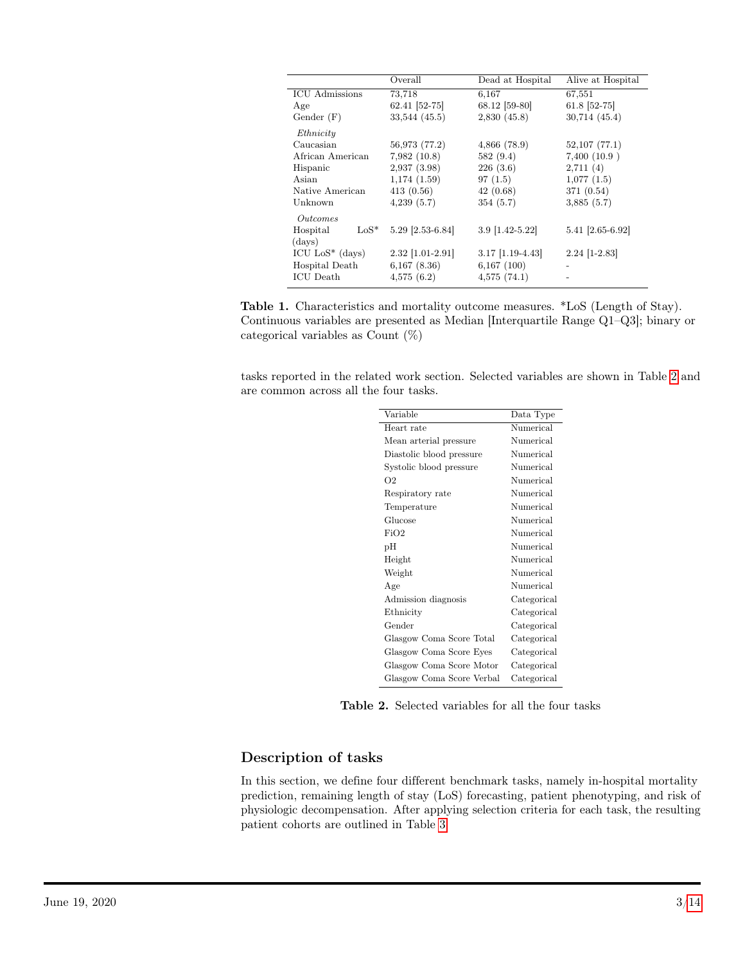<span id="page-2-0"></span>

|                        | Overall            | Dead at Hospital   | Alive at Hospital |  |  |
|------------------------|--------------------|--------------------|-------------------|--|--|
| <b>ICU</b> Admissions  | 73.718             | 6.167              | 67,551            |  |  |
| Age                    | 62.41 [52-75]      | 68.12 [59-80]      | 61.8 [52-75]      |  |  |
| Gender $(F)$           | 33,544 (45.5)      | 2,830(45.8)        | $30,714$ $(45.4)$ |  |  |
| Ethnicity              |                    |                    |                   |  |  |
| Caucasian              | 56,973 (77.2)      | $4,866$ $(78.9)$   | 52,107(77.1)      |  |  |
| African American       | 7,982(10.8)        | 582(9.4)           | 7,400(10.9)       |  |  |
| Hispanic               | 2,937(3.98)        | 226(3.6)           | 2,711(4)          |  |  |
| Asian                  | 1,174(1.59)        | 97(1.5)            | 1,077(1.5)        |  |  |
| Native American        | 413(0.56)          | 42(0.68)           | 371 (0.54)        |  |  |
| Unknown                | 4,239(5.7)         | 354(5.7)           | 3,885(5.7)        |  |  |
| <i><u>Outcomes</u></i> |                    |                    |                   |  |  |
| $LoS^*$<br>Hospital    | 5.29 [2.53-6.84]   | 3.9 [1.42-5.22]    | 5.41 [2.65-6.92]  |  |  |
| (days)                 |                    |                    |                   |  |  |
| ICU $LoS^*$ (days)     | $2.32$ [1.01-2.91] | $3.17$ [1.19-4.43] | $2.24$ [1-2.83]   |  |  |
| Hospital Death         | $6,167$ $(8.36)$   | 6,167(100)         |                   |  |  |
| <b>ICU</b> Death       | 4,575(6.2)         | 4,575(74.1)        |                   |  |  |

Table 1. Characteristics and mortality outcome measures. \*LoS (Length of Stay). Continuous variables are presented as Median [Interquartile Range Q1–Q3]; binary or categorical variables as Count (%)

<span id="page-2-1"></span>tasks reported in the related work section. Selected variables are shown in Table [2](#page-2-1) and are common across all the four tasks.

| Variable                  | Data Type   |  |  |  |
|---------------------------|-------------|--|--|--|
| Heart rate                | Numerical   |  |  |  |
| Mean arterial pressure    | Numerical   |  |  |  |
| Diastolic blood pressure  | Numerical   |  |  |  |
| Systolic blood pressure   | Numerical   |  |  |  |
| O <sub>2</sub>            | Numerical   |  |  |  |
| Respiratory rate          | Numerical   |  |  |  |
| Temperature               | Numerical   |  |  |  |
| Glucose                   | Numerical   |  |  |  |
| FiO2                      | Numerical   |  |  |  |
| pН                        | Numerical   |  |  |  |
| Height                    | Numerical   |  |  |  |
| Weight                    | Numerical   |  |  |  |
| Age                       | Numerical   |  |  |  |
| Admission diagnosis       | Categorical |  |  |  |
| Ethnicity                 | Categorical |  |  |  |
| Gender                    | Categorical |  |  |  |
| Glasgow Coma Score Total  | Categorical |  |  |  |
| Glasgow Coma Score Eyes   | Categorical |  |  |  |
| Glasgow Coma Score Motor  | Categorical |  |  |  |
| Glasgow Coma Score Verbal | Categorical |  |  |  |

Table 2. Selected variables for all the four tasks

#### Description of tasks

In this section, we define four different benchmark tasks, namely in-hospital mortality prediction, remaining length of stay (LoS) forecasting, patient phenotyping, and risk of physiologic decompensation. After applying selection criteria for each task, the resulting patient cohorts are outlined in Table [3](#page-3-0)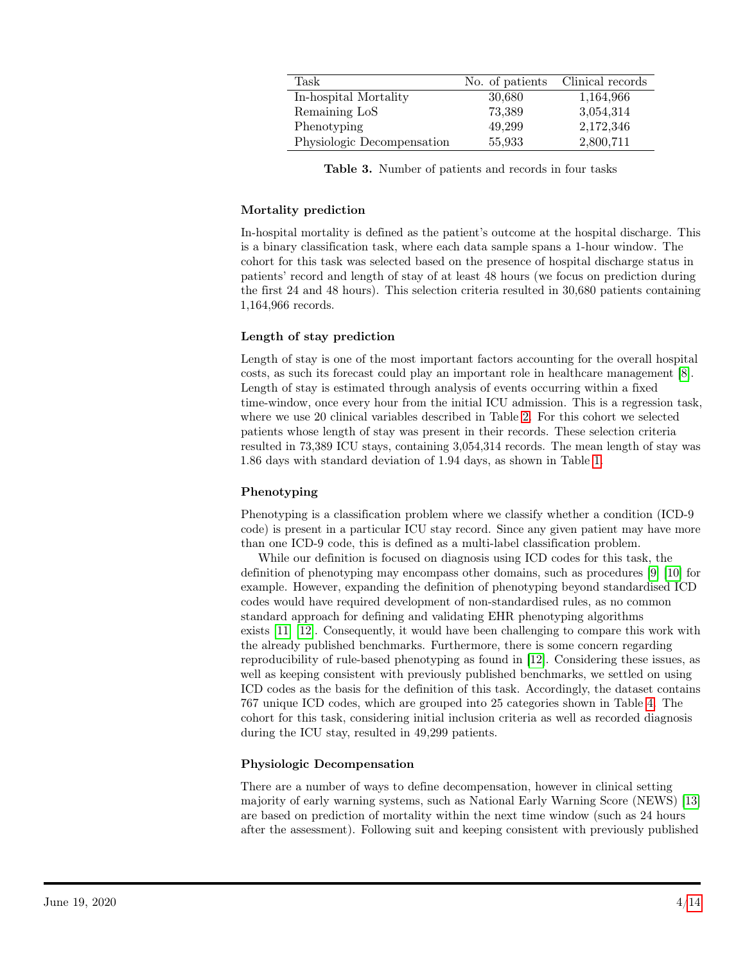<span id="page-3-0"></span>

| Task                       | No. of patients | Clinical records |
|----------------------------|-----------------|------------------|
| In-hospital Mortality      | 30,680          | 1,164,966        |
| Remaining LoS              | 73,389          | 3,054,314        |
| Phenotyping                | 49,299          | 2,172,346        |
| Physiologic Decompensation | 55,933          | 2,800,711        |

Table 3. Number of patients and records in four tasks

#### Mortality prediction

In-hospital mortality is defined as the patient's outcome at the hospital discharge. This is a binary classification task, where each data sample spans a 1-hour window. The cohort for this task was selected based on the presence of hospital discharge status in patients' record and length of stay of at least 48 hours (we focus on prediction during the first 24 and 48 hours). This selection criteria resulted in 30,680 patients containing 1,164,966 records.

#### Length of stay prediction

Length of stay is one of the most important factors accounting for the overall hospital costs, as such its forecast could play an important role in healthcare management [\[8\]](#page-10-7). Length of stay is estimated through analysis of events occurring within a fixed time-window, once every hour from the initial ICU admission. This is a regression task, where we use 20 clinical variables described in Table [2.](#page-2-1) For this cohort we selected patients whose length of stay was present in their records. These selection criteria resulted in 73,389 ICU stays, containing 3,054,314 records. The mean length of stay was 1.86 days with standard deviation of 1.94 days, as shown in Table [1.](#page-2-0)

#### Phenotyping

Phenotyping is a classification problem where we classify whether a condition (ICD-9 code) is present in a particular ICU stay record. Since any given patient may have more than one ICD-9 code, this is defined as a multi-label classification problem.

While our definition is focused on diagnosis using ICD codes for this task, the definition of phenotyping may encompass other domains, such as procedures [\[9\]](#page-10-8) [\[10\]](#page-11-0) for example. However, expanding the definition of phenotyping beyond standardised ICD codes would have required development of non-standardised rules, as no common standard approach for defining and validating EHR phenotyping algorithms exists [\[11\]](#page-11-1) [\[12\]](#page-11-2). Consequently, it would have been challenging to compare this work with the already published benchmarks. Furthermore, there is some concern regarding reproducibility of rule-based phenotyping as found in [\[12\]](#page-11-2). Considering these issues, as well as keeping consistent with previously published benchmarks, we settled on using ICD codes as the basis for the definition of this task. Accordingly, the dataset contains 767 unique ICD codes, which are grouped into 25 categories shown in Table [4.](#page-4-0) The cohort for this task, considering initial inclusion criteria as well as recorded diagnosis during the ICU stay, resulted in 49,299 patients.

#### Physiologic Decompensation

There are a number of ways to define decompensation, however in clinical setting majority of early warning systems, such as National Early Warning Score (NEWS) [\[13\]](#page-11-3) are based on prediction of mortality within the next time window (such as 24 hours after the assessment). Following suit and keeping consistent with previously published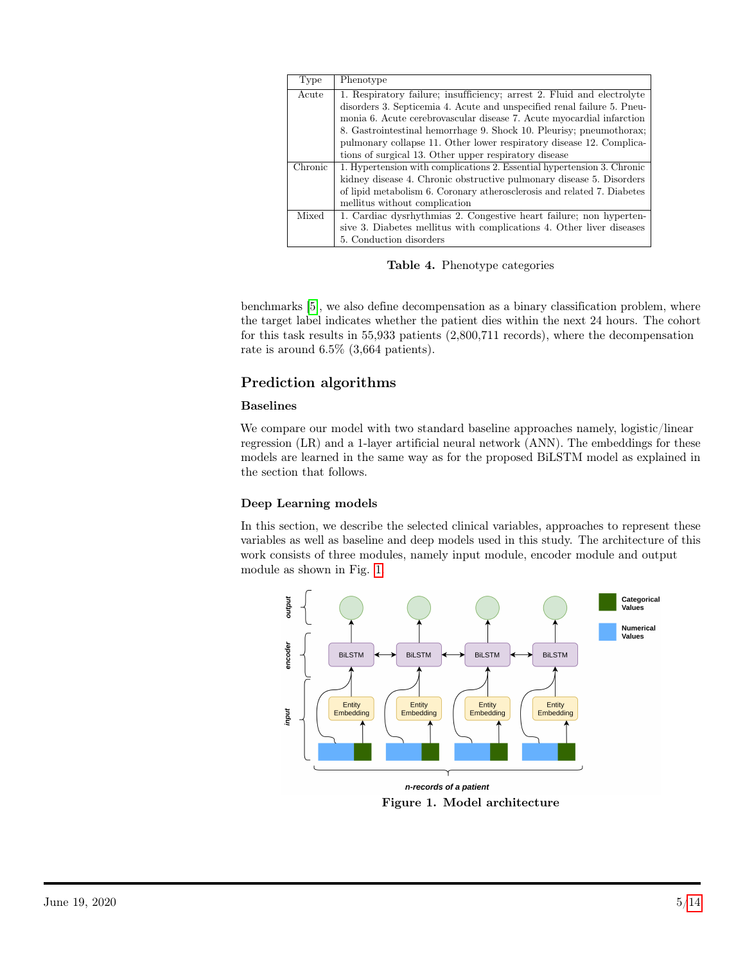<span id="page-4-0"></span>

| Type    | Phenotype                                                               |  |  |  |  |  |  |  |  |  |
|---------|-------------------------------------------------------------------------|--|--|--|--|--|--|--|--|--|
| Acute   | 1. Respiratory failure; insufficiency; arrest 2. Fluid and electrolyte  |  |  |  |  |  |  |  |  |  |
|         | disorders 3. Septicemia 4. Acute and unspecified renal failure 5. Pneu- |  |  |  |  |  |  |  |  |  |
|         | monia 6. Acute cerebrovascular disease 7. Acute myocardial infarction   |  |  |  |  |  |  |  |  |  |
|         | 8. Gastrointestinal hemorrhage 9. Shock 10. Pleurisy; pneumothorax;     |  |  |  |  |  |  |  |  |  |
|         | pulmonary collapse 11. Other lower respiratory disease 12. Complica-    |  |  |  |  |  |  |  |  |  |
|         | tions of surgical 13. Other upper respiratory disease                   |  |  |  |  |  |  |  |  |  |
| Chronic | 1. Hypertension with complications 2. Essential hypertension 3. Chronic |  |  |  |  |  |  |  |  |  |
|         | kidney disease 4. Chronic obstructive pulmonary disease 5. Disorders    |  |  |  |  |  |  |  |  |  |
|         | of lipid metabolism 6. Coronary atherosclerosis and related 7. Diabetes |  |  |  |  |  |  |  |  |  |
|         | mellitus without complication                                           |  |  |  |  |  |  |  |  |  |
| Mixed   | 1. Cardiac dysrhythmias 2. Congestive heart failure; non hyperten-      |  |  |  |  |  |  |  |  |  |
|         | sive 3. Diabetes mellitus with complications 4. Other liver diseases    |  |  |  |  |  |  |  |  |  |
|         | 5. Conduction disorders                                                 |  |  |  |  |  |  |  |  |  |

Table 4. Phenotype categories

benchmarks [\[5\]](#page-10-4), we also define decompensation as a binary classification problem, where the target label indicates whether the patient dies within the next 24 hours. The cohort for this task results in 55,933 patients (2,800,711 records), where the decompensation rate is around 6.5% (3,664 patients).

### Prediction algorithms

#### Baselines

We compare our model with two standard baseline approaches namely, logistic/linear regression (LR) and a 1-layer artificial neural network (ANN). The embeddings for these models are learned in the same way as for the proposed BiLSTM model as explained in the section that follows.

#### Deep Learning models

In this section, we describe the selected clinical variables, approaches to represent these variables as well as baseline and deep models used in this study. The architecture of this work consists of three modules, namely input module, encoder module and output module as shown in Fig. [1.](#page-4-1)

<span id="page-4-1"></span>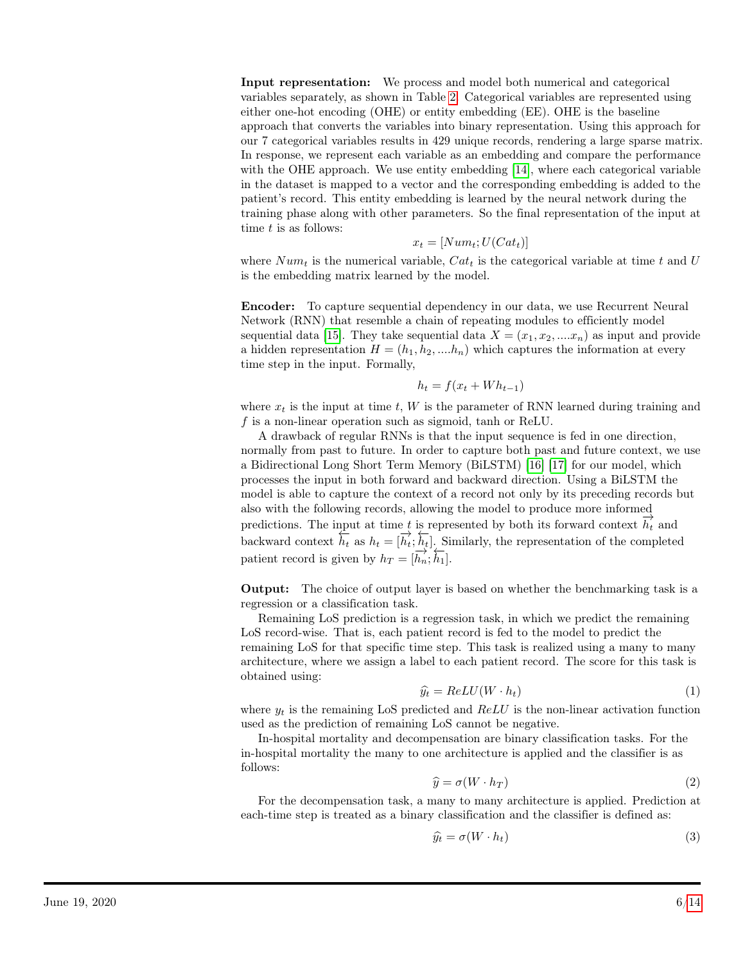Input representation: We process and model both numerical and categorical variables separately, as shown in Table [2.](#page-2-1) Categorical variables are represented using either one-hot encoding (OHE) or entity embedding (EE). OHE is the baseline approach that converts the variables into binary representation. Using this approach for our 7 categorical variables results in 429 unique records, rendering a large sparse matrix. In response, we represent each variable as an embedding and compare the performance with the OHE approach. We use entity embedding [\[14\]](#page-11-4), where each categorical variable in the dataset is mapped to a vector and the corresponding embedding is added to the patient's record. This entity embedding is learned by the neural network during the training phase along with other parameters. So the final representation of the input at time  $t$  is as follows:

$$
x_t = [Num_t; U(Cat_t)]
$$

where  $Num_t$  is the numerical variable,  $Cat_t$  is the categorical variable at time t and U is the embedding matrix learned by the model.

Encoder: To capture sequential dependency in our data, we use Recurrent Neural Network (RNN) that resemble a chain of repeating modules to efficiently model sequential data [\[15\]](#page-11-5). They take sequential data  $X = (x_1, x_2, \dots, x_n)$  as input and provide a hidden representation  $H = (h_1, h_2, \dots, h_n)$  which captures the information at every time step in the input. Formally,

$$
h_t = f(x_t + Wh_{t-1})
$$

where  $x_t$  is the input at time t, W is the parameter of RNN learned during training and f is a non-linear operation such as sigmoid, tanh or ReLU.

A drawback of regular RNNs is that the input sequence is fed in one direction, normally from past to future. In order to capture both past and future context, we use a Bidirectional Long Short Term Memory (BiLSTM) [\[16\]](#page-11-6) [\[17\]](#page-11-7) for our model, which processes the input in both forward and backward direction. Using a BiLSTM the model is able to capture the context of a record not only by its preceding records but also with the following records, allowing the model to produce more informed predictions. The input at time t is represented by both its forward context  $\overrightarrow{h_t}$  and backward context  $\hat{h}_t$  as  $h_t = [\hat{h}_t^i; \hat{h}_t]$ . Similarly, the representation of the completed patient record is given by  $h_T = [\overline{h_n}; \overline{h_1}]$ .

Output: The choice of output layer is based on whether the benchmarking task is a regression or a classification task.

Remaining LoS prediction is a regression task, in which we predict the remaining LoS record-wise. That is, each patient record is fed to the model to predict the remaining LoS for that specific time step. This task is realized using a many to many architecture, where we assign a label to each patient record. The score for this task is obtained using:

$$
\widehat{y}_t = ReLU(W \cdot h_t) \tag{1}
$$

where  $y_t$  is the remaining LoS predicted and  $ReLU$  is the non-linear activation function used as the prediction of remaining LoS cannot be negative.

In-hospital mortality and decompensation are binary classification tasks. For the in-hospital mortality the many to one architecture is applied and the classifier is as follows:

$$
\widehat{y} = \sigma(W \cdot h_T) \tag{2}
$$

For the decompensation task, a many to many architecture is applied. Prediction at each-time step is treated as a binary classification and the classifier is defined as:

$$
\widehat{y}_t = \sigma(W \cdot h_t) \tag{3}
$$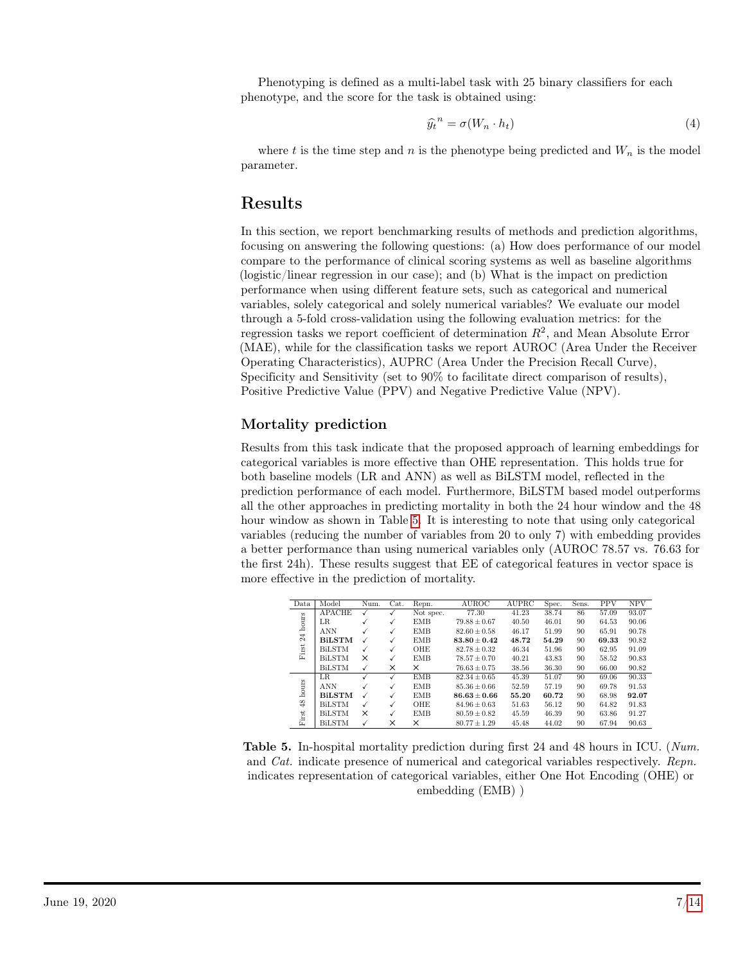Phenotyping is defined as a multi-label task with 25 binary classifiers for each phenotype, and the score for the task is obtained using:

$$
\widehat{y_t}^n = \sigma(W_n \cdot h_t) \tag{4}
$$

where t is the time step and n is the phenotype being predicted and  $W_n$  is the model parameter.

### Results

In this section, we report benchmarking results of methods and prediction algorithms, focusing on answering the following questions: (a) How does performance of our model compare to the performance of clinical scoring systems as well as baseline algorithms (logistic/linear regression in our case); and (b) What is the impact on prediction performance when using different feature sets, such as categorical and numerical variables, solely categorical and solely numerical variables? We evaluate our model through a 5-fold cross-validation using the following evaluation metrics: for the regression tasks we report coefficient of determination  $R^2$ , and Mean Absolute Error (MAE), while for the classification tasks we report AUROC (Area Under the Receiver Operating Characteristics), AUPRC (Area Under the Precision Recall Curve), Specificity and Sensitivity (set to 90% to facilitate direct comparison of results), Positive Predictive Value (PPV) and Negative Predictive Value (NPV).

#### Mortality prediction

Results from this task indicate that the proposed approach of learning embeddings for categorical variables is more effective than OHE representation. This holds true for both baseline models (LR and ANN) as well as BiLSTM model, reflected in the prediction performance of each model. Furthermore, BiLSTM based model outperforms all the other approaches in predicting mortality in both the 24 hour window and the 48 hour window as shown in Table [5.](#page-6-0) It is interesting to note that using only categorical variables (reducing the number of variables from 20 to only 7) with embedding provides a better performance than using numerical variables only (AUROC 78.57 vs. 76.63 for the first 24h). These results suggest that EE of categorical features in vector space is more effective in the prediction of mortality.

<span id="page-6-0"></span>

| Data           | Model         | Num. | Cat. | Repn.      | <b>AUROC</b>     | <b>AUPRC</b> | Spec. | Sens. | <b>PPV</b> | <b>NPV</b> |
|----------------|---------------|------|------|------------|------------------|--------------|-------|-------|------------|------------|
| hours          | <b>APACHE</b> |      |      | Not spec.  | 77.30            | 41.23        | 38.74 | 86    | 57.09      | 93.07      |
|                | LR            |      | √    | <b>EMB</b> | $79.88 \pm 0.67$ | 40.50        | 46.01 | 90    | 64.53      | 90.06      |
|                | <b>ANN</b>    |      | √    | EMB        | $82.60 \pm 0.58$ | 46.17        | 51.99 | 90    | 65.91      | 90.78      |
| 24             | <b>BiLSTM</b> |      |      | EMB        | $83.80 + 0.42$   | 48.72        | 54.29 | 90    | 69.33      | 90.82      |
| First          | <b>BiLSTM</b> | ✓    | √    | OHE        | $82.78 \pm 0.32$ | 46.34        | 51.96 | 90    | 62.95      | 91.09      |
|                | <b>BiLSTM</b> | X    |      | <b>EMB</b> | $78.57 + 0.70$   | 40.21        | 43.83 | 90    | 58.52      | 90.83      |
|                | <b>BiLSTM</b> | ✓    | X    | X          | $76.63 \pm 0.75$ | 38.56        | 36.30 | 90    | 66.00      | 90.82      |
|                | <b>LR</b>     |      |      | <b>EMB</b> | $82.34 \pm 0.65$ | 45.39        | 51.07 | 90    | 69.06      | 90.33      |
| hours          | <b>ANN</b>    |      |      | EMB        | $85.36 \pm 0.66$ | 52.59        | 57.19 | 90    | 69.78      | 91.53      |
|                | <b>BiLSTM</b> |      |      | <b>EMB</b> | $86.63 + 0.66$   | 55.20        | 60.72 | 90    | 68.98      | 92.07      |
| $^{48}$        | <b>BiLSTM</b> | ✓    | √    | OHE        | $84.96 \pm 0.63$ | 51.63        | 56.12 | 90    | 64.82      | 91.83      |
| $_{\rm First}$ | <b>BiLSTM</b> | X    |      | <b>EMB</b> | $80.59 \pm 0.82$ | 45.59        | 46.39 | 90    | 63.86      | 91.27      |
|                | <b>BiLSTM</b> |      | ×    | X          | $80.77 \pm 1.29$ | 45.48        | 44.02 | 90    | 67.94      | 90.63      |

Table 5. In-hospital mortality prediction during first 24 and 48 hours in ICU. (Num. and Cat. indicate presence of numerical and categorical variables respectively. Repn. indicates representation of categorical variables, either One Hot Encoding (OHE) or embedding (EMB) )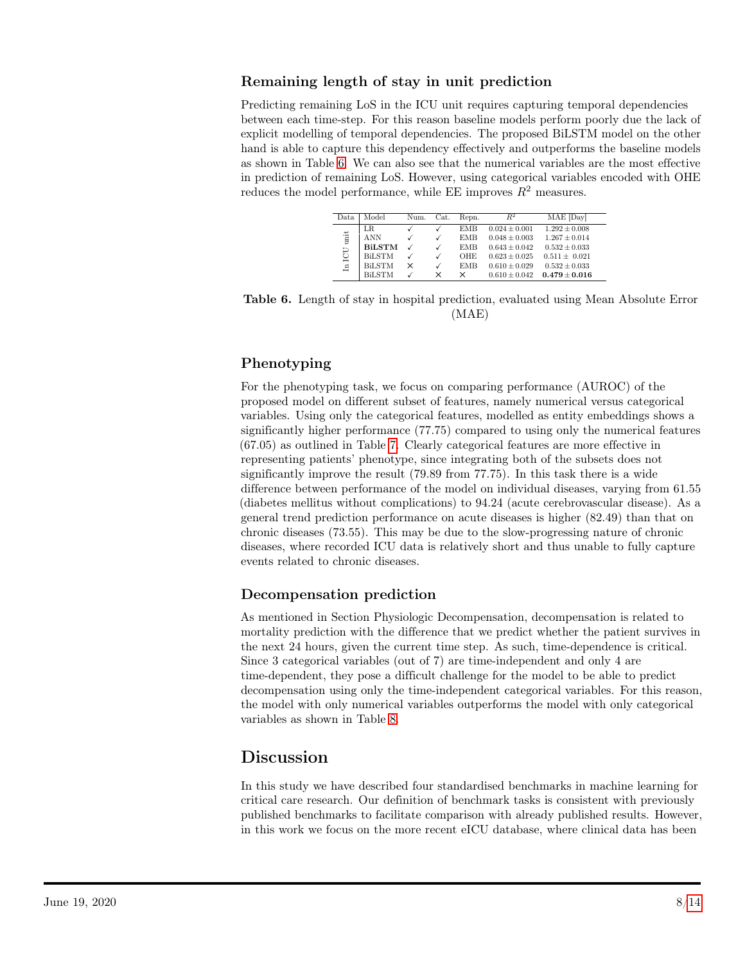#### Remaining length of stay in unit prediction

Predicting remaining LoS in the ICU unit requires capturing temporal dependencies between each time-step. For this reason baseline models perform poorly due the lack of explicit modelling of temporal dependencies. The proposed BiLSTM model on the other hand is able to capture this dependency effectively and outperforms the baseline models as shown in Table [6.](#page-7-0) We can also see that the numerical variables are the most effective in prediction of remaining LoS. However, using categorical variables encoded with OHE reduces the model performance, while EE improves  $R^2$  measures.

| Repn.<br>Num.<br>Cat.                                                                     |      |       |  |            |                   |                   |
|-------------------------------------------------------------------------------------------|------|-------|--|------------|-------------------|-------------------|
|                                                                                           | Data | Model |  |            | $R^2$             | MAE [Day]         |
| √                                                                                         |      | LR.   |  | <b>EMB</b> | $0.024 \pm 0.001$ | $1.292 \pm 0.008$ |
| imit<br><b>ANN</b><br>$0.048 \pm 0.003$<br>$1.267 \pm 0.014$<br><b>EMB</b><br>√           |      |       |  |            |                   |                   |
| <b>BILSTM</b><br>$0.532 \pm 0.033$<br>$0.643 \pm 0.042$<br><b>EMB</b>                     |      |       |  |            |                   |                   |
| <b>BiLSTM</b><br>$0.623 \pm 0.025$<br>$0.511 \pm 0.021$<br>OHE                            |      |       |  |            |                   |                   |
| In ICU<br><b>BiLSTM</b><br>$0.532 \pm 0.033$<br>$0.610 \pm 0.029$<br><b>EMB</b><br>×<br>√ |      |       |  |            |                   |                   |
| <b>BiLSTM</b><br>$0.479 \pm 0.016$<br>$0.610 \pm 0.042$<br>×<br>×                         |      |       |  |            |                   |                   |

<span id="page-7-0"></span>Table 6. Length of stay in hospital prediction, evaluated using Mean Absolute Error (MAE)

#### Phenotyping

For the phenotyping task, we focus on comparing performance (AUROC) of the proposed model on different subset of features, namely numerical versus categorical variables. Using only the categorical features, modelled as entity embeddings shows a significantly higher performance (77.75) compared to using only the numerical features (67.05) as outlined in Table [7.](#page-8-0) Clearly categorical features are more effective in representing patients' phenotype, since integrating both of the subsets does not significantly improve the result (79.89 from 77.75). In this task there is a wide difference between performance of the model on individual diseases, varying from 61.55 (diabetes mellitus without complications) to 94.24 (acute cerebrovascular disease). As a general trend prediction performance on acute diseases is higher (82.49) than that on chronic diseases (73.55). This may be due to the slow-progressing nature of chronic diseases, where recorded ICU data is relatively short and thus unable to fully capture events related to chronic diseases.

#### Decompensation prediction

As mentioned in Section Physiologic Decompensation, decompensation is related to mortality prediction with the difference that we predict whether the patient survives in the next 24 hours, given the current time step. As such, time-dependence is critical. Since 3 categorical variables (out of 7) are time-independent and only 4 are time-dependent, they pose a difficult challenge for the model to be able to predict decompensation using only the time-independent categorical variables. For this reason, the model with only numerical variables outperforms the model with only categorical variables as shown in Table [8.](#page-8-1)

## Discussion

In this study we have described four standardised benchmarks in machine learning for critical care research. Our definition of benchmark tasks is consistent with previously published benchmarks to facilitate comparison with already published results. However, in this work we focus on the more recent eICU database, where clinical data has been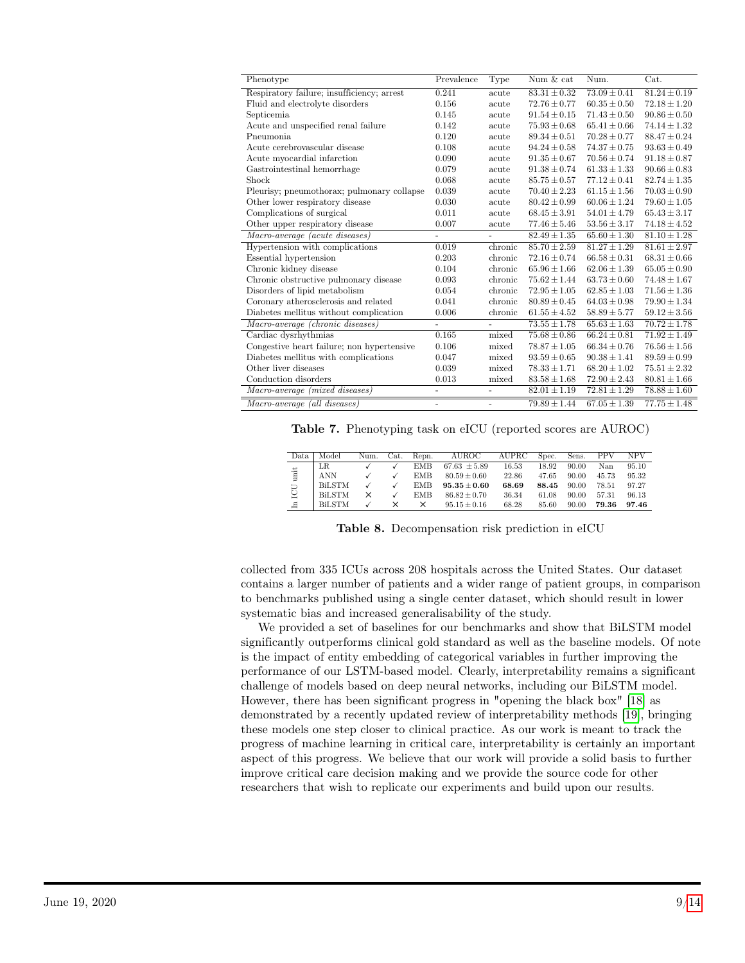<span id="page-8-0"></span>

| Phenotype                                  | Prevalence               | Type                     | Num & cat        | Num.                    | Cat.             |
|--------------------------------------------|--------------------------|--------------------------|------------------|-------------------------|------------------|
| Respiratory failure; insufficiency; arrest | 0.241                    | acute                    | $83.31 \pm 0.32$ | $\sqrt{73.09 \pm 0.41}$ | $81.24 \pm 0.19$ |
| Fluid and electrolyte disorders            | 0.156                    | acute                    | $72.76 \pm 0.77$ | $60.35 \pm 0.50$        | $72.18 \pm 1.20$ |
| Septicemia                                 | 0.145                    | acute                    | $91.54 \pm 0.15$ | $71.43 \pm 0.50$        | $90.86 \pm 0.50$ |
| Acute and unspecified renal failure        | 0.142                    | acute                    | $75.93 \pm 0.68$ | $65.41 \pm 0.66$        | $74.14 \pm 1.32$ |
| Pneumonia                                  | 0.120                    | acute                    | $89.34 \pm 0.51$ | $70.28 \pm 0.77$        | $88.47 \pm 0.24$ |
| Acute cerebrovascular disease              | 0.108                    | acute                    | $94.24 \pm 0.58$ | $74.37 \pm 0.75$        | $93.63 \pm 0.49$ |
| Acute myocardial infarction                | 0.090                    | acute                    | $91.35 \pm 0.67$ | $70.56 \pm 0.74$        | $91.18 \pm 0.87$ |
| Gastrointestinal hemorrhage                | 0.079                    | acute                    | $91.38 \pm 0.74$ | $61.33 \pm 1.33$        | $90.66 \pm 0.83$ |
| Shock                                      | 0.068                    | acute                    | $85.75 \pm 0.57$ | $77.12 \pm 0.41$        | $82.74 \pm 1.35$ |
| Pleurisy; pneumothorax; pulmonary collapse | 0.039                    | acute                    | $70.40 \pm 2.23$ | $61.15 \pm 1.56$        | $70.03 \pm 0.90$ |
| Other lower respiratory disease            | 0.030                    | acute                    | $80.42 \pm 0.99$ | $60.06 \pm 1.24$        | $79.60 \pm 1.05$ |
| Complications of surgical                  | 0.011                    | acute                    | $68.45 \pm 3.91$ | $54.01 \pm 4.79$        | $65.43 \pm 3.17$ |
| Other upper respiratory disease            | 0.007                    | acute                    | $77.46 \pm 5.46$ | $53.56 \pm 3.17$        | $74.18 \pm 4.52$ |
| Macro-average (acute diseases)             | $\overline{\phantom{0}}$ | $\overline{\phantom{a}}$ | $82.49 \pm 1.35$ | $65.60 \pm 1.30$        | $81.10 \pm 1.28$ |
| Hypertension with complications            | 0.019                    | chronic                  | $85.70 \pm 2.59$ | $81.27 \pm 1.29$        | $81.61 \pm 2.97$ |
| Essential hypertension                     | 0.203                    | chronic                  | $72.16 \pm 0.74$ | $66.58 \pm 0.31$        | $68.31 \pm 0.66$ |
| Chronic kidney disease                     | 0.104                    | chronic                  | $65.96 \pm 1.66$ | $62.06 \pm 1.39$        | $65.05 \pm 0.90$ |
| Chronic obstructive pulmonary disease      | 0.093                    | chronic                  | $75.62 \pm 1.44$ | $63.73 \pm 0.60$        | $74.48 \pm 1.67$ |
| Disorders of lipid metabolism              | 0.054                    | chronic                  | $72.95 \pm 1.05$ | $62.85 \pm 1.03$        | $71.56 \pm 1.36$ |
| Coronary atherosclerosis and related       | 0.041                    | chronic                  | $80.89 \pm 0.45$ | $64.03 \pm 0.98$        | $79.90 \pm 1.34$ |
| Diabetes mellitus without complication     | 0.006                    | chronic                  | $61.55 \pm 4.52$ | $58.89 \pm 5.77$        | $59.12 \pm 3.56$ |
| Macro-average (chronic diseases)           | $\overline{\phantom{0}}$ | $\omega$                 | $73.55 \pm 1.78$ | $65.63 \pm 1.63$        | $70.72 \pm 1.78$ |
| Cardiac dysrhythmias                       | 0.165                    | mixed                    | $75.68 \pm 0.86$ | $66.24 \pm 0.81$        | $71.92 \pm 1.49$ |
| Congestive heart failure; non hypertensive | 0.106                    | mixed                    | $78.87 \pm 1.05$ | $66.34 \pm 0.76$        | $76.56 \pm 1.56$ |
| Diabetes mellitus with complications       | 0.047                    | mixed                    | $93.59 \pm 0.65$ | $90.38 \pm 1.41$        | $89.59\pm0.99$   |
| Other liver diseases                       | 0.039                    | mixed                    | $78.33 \pm 1.71$ | $68.20 \pm 1.02$        | $75.51 \pm 2.32$ |
| Conduction disorders                       | 0.013                    | mixed                    | $83.58 \pm 1.68$ | $72.90 \pm 2.43$        | $80.81 \pm 1.66$ |
| Macro-average (mixed diseases)             | $\qquad \qquad -$        | $\overline{a}$           | $82.01 \pm 1.19$ | $72.81 \pm 1.29$        | $78.88 \pm 1.60$ |
| Macro-average (all diseases)               | $\qquad \qquad -$        | $\blacksquare$           | $79.89 \pm 1.44$ | $67.05 \pm 1.39$        | $77.75 \pm 1.48$ |
|                                            |                          |                          |                  |                         |                  |

Table 7. Phenotyping task on eICU (reported scores are AUROC)

<span id="page-8-1"></span>

| Data           | Model         | Num. | Cat.     | Repn.    | AUROC            | AUPRC | Spec. | Sens. | <b>PPV</b> | <b>NPV</b> |
|----------------|---------------|------|----------|----------|------------------|-------|-------|-------|------------|------------|
|                | LR.           |      |          | EMB      | $67.63 \pm 5.89$ | 16.53 | 18.92 | 90.00 | Nan        | 95.10      |
| $\ddot{\rm a}$ | <b>ANN</b>    |      |          | EMB      | $80.59 \pm 0.60$ | 22.86 | 47.65 | 90.00 | 45.73      | 95.32      |
|                | BiLSTM        |      |          | EMB      | $95.35\pm0.60$   | 68.69 | 88.45 | 90.00 | 78.51      | 97.27      |
| ICU            | <b>BiLSTM</b> | ×    |          | EMB      | $86.82 + 0.70$   | 36.34 | 61.08 | 90.00 | 57.31      | 96.13      |
| $\mathbf{H}$   | <b>BiLSTM</b> |      | $\times$ | $\times$ | $95.15 \pm 0.16$ | 68.28 | 85.60 | 90.00 | 79.36      | 97.46      |

Table 8. Decompensation risk prediction in eICU

collected from 335 ICUs across 208 hospitals across the United States. Our dataset contains a larger number of patients and a wider range of patient groups, in comparison to benchmarks published using a single center dataset, which should result in lower systematic bias and increased generalisability of the study.

We provided a set of baselines for our benchmarks and show that BiLSTM model significantly outperforms clinical gold standard as well as the baseline models. Of note is the impact of entity embedding of categorical variables in further improving the performance of our LSTM-based model. Clearly, interpretability remains a significant challenge of models based on deep neural networks, including our BiLSTM model. However, there has been significant progress in "opening the black box" [\[18\]](#page-11-8) as demonstrated by a recently updated review of interpretability methods [\[19\]](#page-11-9), bringing these models one step closer to clinical practice. As our work is meant to track the progress of machine learning in critical care, interpretability is certainly an important aspect of this progress. We believe that our work will provide a solid basis to further improve critical care decision making and we provide the source code for other researchers that wish to replicate our experiments and build upon our results.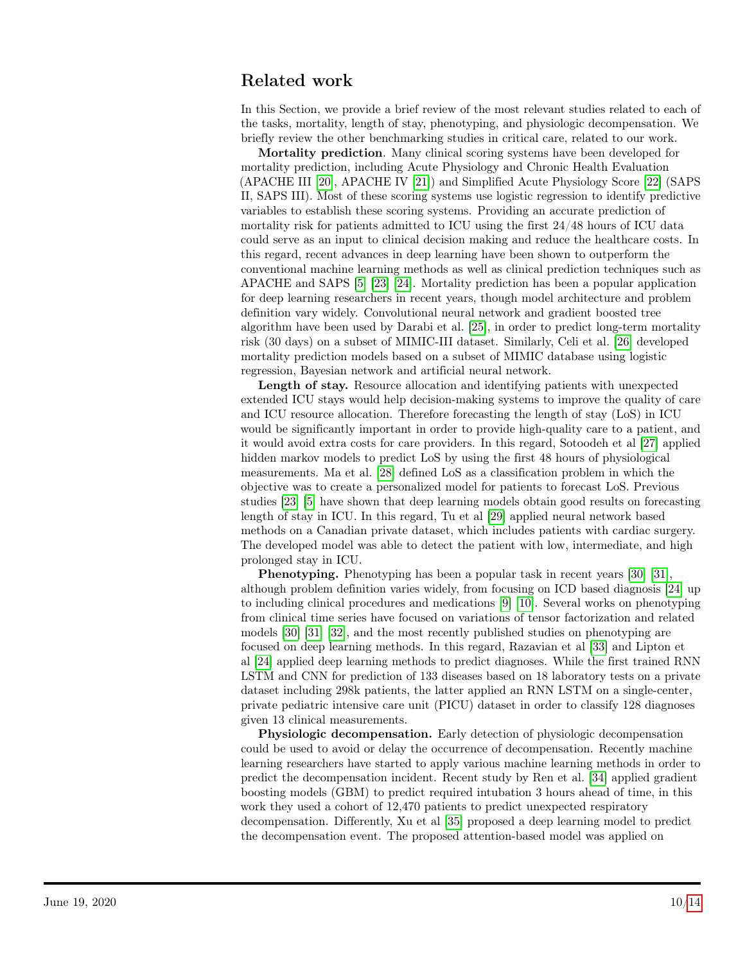## Related work

In this Section, we provide a brief review of the most relevant studies related to each of the tasks, mortality, length of stay, phenotyping, and physiologic decompensation. We briefly review the other benchmarking studies in critical care, related to our work.

Mortality prediction. Many clinical scoring systems have been developed for mortality prediction, including Acute Physiology and Chronic Health Evaluation (APACHE III [\[20\]](#page-11-10), APACHE IV [\[21\]](#page-11-11)) and Simplified Acute Physiology Score [\[22\]](#page-11-12) (SAPS II, SAPS III). Most of these scoring systems use logistic regression to identify predictive variables to establish these scoring systems. Providing an accurate prediction of mortality risk for patients admitted to ICU using the first 24/48 hours of ICU data could serve as an input to clinical decision making and reduce the healthcare costs. In this regard, recent advances in deep learning have been shown to outperform the conventional machine learning methods as well as clinical prediction techniques such as APACHE and SAPS [\[5\]](#page-10-4) [\[23\]](#page-11-13) [\[24\]](#page-11-14). Mortality prediction has been a popular application for deep learning researchers in recent years, though model architecture and problem definition vary widely. Convolutional neural network and gradient boosted tree algorithm have been used by Darabi et al. [\[25\]](#page-11-15), in order to predict long-term mortality risk (30 days) on a subset of MIMIC-III dataset. Similarly, Celi et al. [\[26\]](#page-12-0) developed mortality prediction models based on a subset of MIMIC database using logistic regression, Bayesian network and artificial neural network.

Length of stay. Resource allocation and identifying patients with unexpected extended ICU stays would help decision-making systems to improve the quality of care and ICU resource allocation. Therefore forecasting the length of stay (LoS) in ICU would be significantly important in order to provide high-quality care to a patient, and it would avoid extra costs for care providers. In this regard, Sotoodeh et al [\[27\]](#page-12-1) applied hidden markov models to predict LoS by using the first 48 hours of physiological measurements. Ma et al. [\[28\]](#page-12-2) defined LoS as a classification problem in which the objective was to create a personalized model for patients to forecast LoS. Previous studies [\[23\]](#page-11-13) [\[5\]](#page-10-4) have shown that deep learning models obtain good results on forecasting length of stay in ICU. In this regard, Tu et al [\[29\]](#page-12-3) applied neural network based methods on a Canadian private dataset, which includes patients with cardiac surgery. The developed model was able to detect the patient with low, intermediate, and high prolonged stay in ICU.

Phenotyping. Phenotyping has been a popular task in recent years [\[30\]](#page-12-4) [\[31\]](#page-12-5), although problem definition varies widely, from focusing on ICD based diagnosis [\[24\]](#page-11-14) up to including clinical procedures and medications [\[9\]](#page-10-8) [\[10\]](#page-11-0). Several works on phenotyping from clinical time series have focused on variations of tensor factorization and related models [\[30\]](#page-12-4) [\[31\]](#page-12-5) [\[32\]](#page-12-6), and the most recently published studies on phenotyping are focused on deep learning methods. In this regard, Razavian et al [\[33\]](#page-12-7) and Lipton et al [\[24\]](#page-11-14) applied deep learning methods to predict diagnoses. While the first trained RNN LSTM and CNN for prediction of 133 diseases based on 18 laboratory tests on a private dataset including 298k patients, the latter applied an RNN LSTM on a single-center, private pediatric intensive care unit (PICU) dataset in order to classify 128 diagnoses given 13 clinical measurements.

Physiologic decompensation. Early detection of physiologic decompensation could be used to avoid or delay the occurrence of decompensation. Recently machine learning researchers have started to apply various machine learning methods in order to predict the decompensation incident. Recent study by Ren et al. [\[34\]](#page-12-8) applied gradient boosting models (GBM) to predict required intubation 3 hours ahead of time, in this work they used a cohort of 12,470 patients to predict unexpected respiratory decompensation. Differently, Xu et al [\[35\]](#page-12-9) proposed a deep learning model to predict the decompensation event. The proposed attention-based model was applied on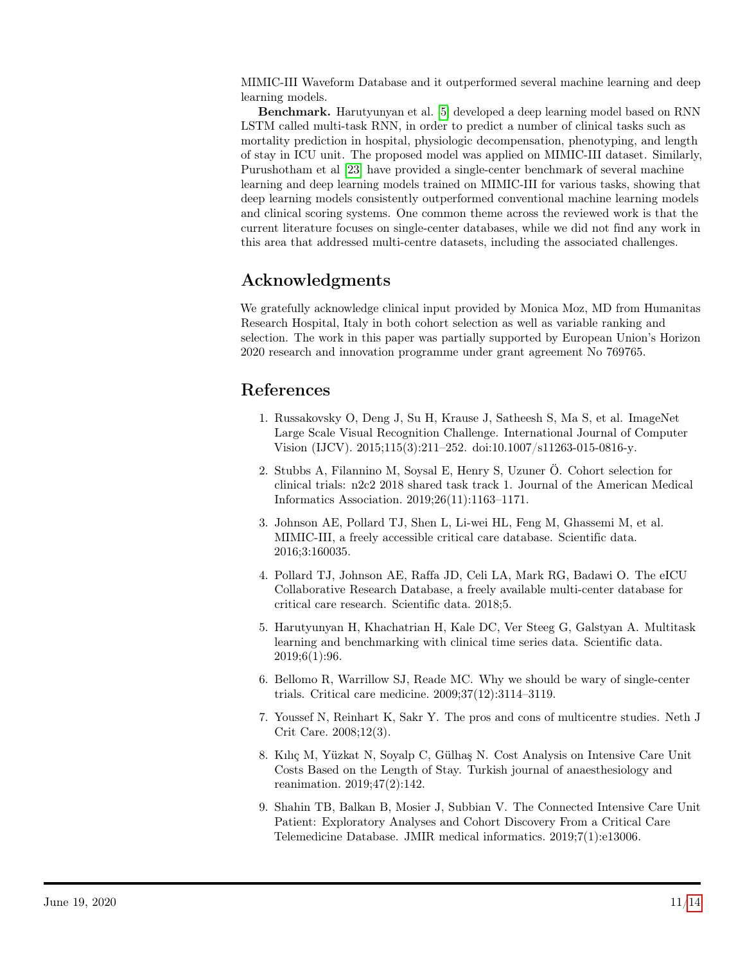MIMIC-III Waveform Database and it outperformed several machine learning and deep learning models.

Benchmark. Harutyunyan et al. [\[5\]](#page-10-4) developed a deep learning model based on RNN LSTM called multi-task RNN, in order to predict a number of clinical tasks such as mortality prediction in hospital, physiologic decompensation, phenotyping, and length of stay in ICU unit. The proposed model was applied on MIMIC-III dataset. Similarly, Purushotham et al [\[23\]](#page-11-13) have provided a single-center benchmark of several machine learning and deep learning models trained on MIMIC-III for various tasks, showing that deep learning models consistently outperformed conventional machine learning models and clinical scoring systems. One common theme across the reviewed work is that the current literature focuses on single-center databases, while we did not find any work in this area that addressed multi-centre datasets, including the associated challenges.

# Acknowledgments

We gratefully acknowledge clinical input provided by Monica Moz, MD from Humanitas Research Hospital, Italy in both cohort selection as well as variable ranking and selection. The work in this paper was partially supported by European Union's Horizon 2020 research and innovation programme under grant agreement No 769765.

## References

- <span id="page-10-0"></span>1. Russakovsky O, Deng J, Su H, Krause J, Satheesh S, Ma S, et al. ImageNet Large Scale Visual Recognition Challenge. International Journal of Computer Vision (IJCV). 2015;115(3):211–252. doi:10.1007/s11263-015-0816-y.
- <span id="page-10-1"></span>2. Stubbs A, Filannino M, Soysal E, Henry S, Uzuner Ö. Cohort selection for clinical trials: n2c2 2018 shared task track 1. Journal of the American Medical Informatics Association. 2019;26(11):1163–1171.
- <span id="page-10-2"></span>3. Johnson AE, Pollard TJ, Shen L, Li-wei HL, Feng M, Ghassemi M, et al. MIMIC-III, a freely accessible critical care database. Scientific data. 2016;3:160035.
- <span id="page-10-3"></span>4. Pollard TJ, Johnson AE, Raffa JD, Celi LA, Mark RG, Badawi O. The eICU Collaborative Research Database, a freely available multi-center database for critical care research. Scientific data. 2018;5.
- <span id="page-10-4"></span>5. Harutyunyan H, Khachatrian H, Kale DC, Ver Steeg G, Galstyan A. Multitask learning and benchmarking with clinical time series data. Scientific data. 2019;6(1):96.
- <span id="page-10-5"></span>6. Bellomo R, Warrillow SJ, Reade MC. Why we should be wary of single-center trials. Critical care medicine. 2009;37(12):3114–3119.
- <span id="page-10-6"></span>7. Youssef N, Reinhart K, Sakr Y. The pros and cons of multicentre studies. Neth J Crit Care. 2008;12(3).
- <span id="page-10-7"></span>8. Kılıç M, Yüzkat N, Soyalp C, Gülhaş N. Cost Analysis on Intensive Care Unit Costs Based on the Length of Stay. Turkish journal of anaesthesiology and reanimation. 2019;47(2):142.
- <span id="page-10-8"></span>9. Shahin TB, Balkan B, Mosier J, Subbian V. The Connected Intensive Care Unit Patient: Exploratory Analyses and Cohort Discovery From a Critical Care Telemedicine Database. JMIR medical informatics. 2019;7(1):e13006.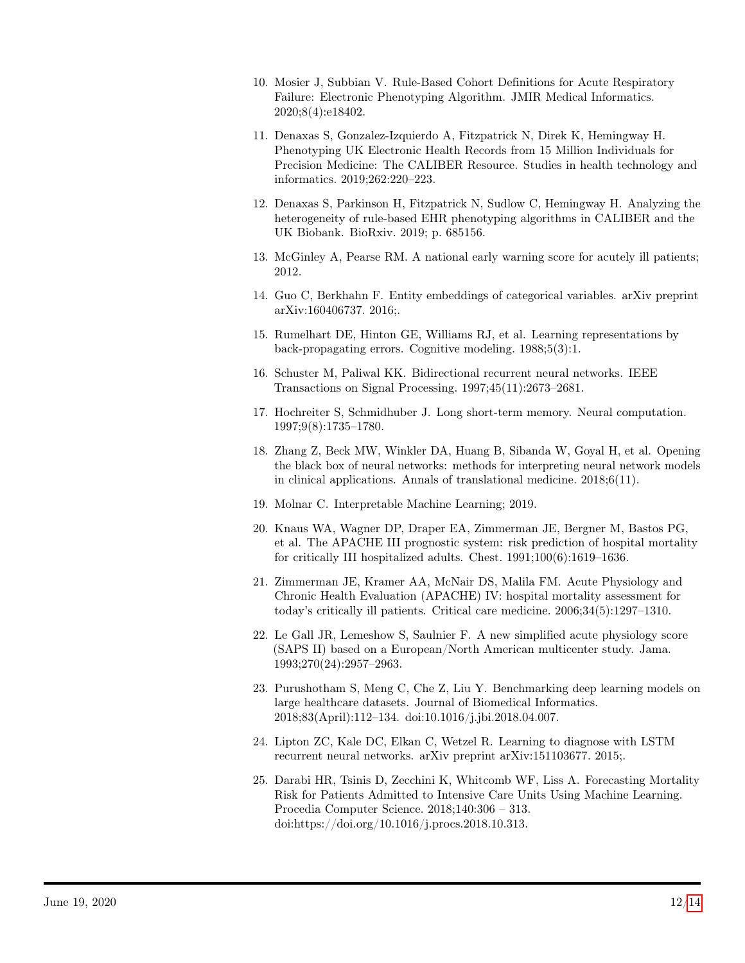- <span id="page-11-0"></span>10. Mosier J, Subbian V. Rule-Based Cohort Definitions for Acute Respiratory Failure: Electronic Phenotyping Algorithm. JMIR Medical Informatics. 2020;8(4):e18402.
- <span id="page-11-1"></span>11. Denaxas S, Gonzalez-Izquierdo A, Fitzpatrick N, Direk K, Hemingway H. Phenotyping UK Electronic Health Records from 15 Million Individuals for Precision Medicine: The CALIBER Resource. Studies in health technology and informatics. 2019;262:220–223.
- <span id="page-11-2"></span>12. Denaxas S, Parkinson H, Fitzpatrick N, Sudlow C, Hemingway H. Analyzing the heterogeneity of rule-based EHR phenotyping algorithms in CALIBER and the UK Biobank. BioRxiv. 2019; p. 685156.
- <span id="page-11-3"></span>13. McGinley A, Pearse RM. A national early warning score for acutely ill patients; 2012.
- <span id="page-11-4"></span>14. Guo C, Berkhahn F. Entity embeddings of categorical variables. arXiv preprint arXiv:160406737. 2016;.
- <span id="page-11-5"></span>15. Rumelhart DE, Hinton GE, Williams RJ, et al. Learning representations by back-propagating errors. Cognitive modeling. 1988;5(3):1.
- <span id="page-11-6"></span>16. Schuster M, Paliwal KK. Bidirectional recurrent neural networks. IEEE Transactions on Signal Processing. 1997;45(11):2673–2681.
- <span id="page-11-7"></span>17. Hochreiter S, Schmidhuber J. Long short-term memory. Neural computation. 1997;9(8):1735–1780.
- <span id="page-11-8"></span>18. Zhang Z, Beck MW, Winkler DA, Huang B, Sibanda W, Goyal H, et al. Opening the black box of neural networks: methods for interpreting neural network models in clinical applications. Annals of translational medicine. 2018;6(11).
- <span id="page-11-9"></span>19. Molnar C. Interpretable Machine Learning; 2019.
- <span id="page-11-10"></span>20. Knaus WA, Wagner DP, Draper EA, Zimmerman JE, Bergner M, Bastos PG, et al. The APACHE III prognostic system: risk prediction of hospital mortality for critically III hospitalized adults. Chest. 1991;100(6):1619–1636.
- <span id="page-11-11"></span>21. Zimmerman JE, Kramer AA, McNair DS, Malila FM. Acute Physiology and Chronic Health Evaluation (APACHE) IV: hospital mortality assessment for today's critically ill patients. Critical care medicine. 2006;34(5):1297–1310.
- <span id="page-11-12"></span>22. Le Gall JR, Lemeshow S, Saulnier F. A new simplified acute physiology score (SAPS II) based on a European/North American multicenter study. Jama. 1993;270(24):2957–2963.
- <span id="page-11-13"></span>23. Purushotham S, Meng C, Che Z, Liu Y. Benchmarking deep learning models on large healthcare datasets. Journal of Biomedical Informatics. 2018;83(April):112–134. doi:10.1016/j.jbi.2018.04.007.
- <span id="page-11-14"></span>24. Lipton ZC, Kale DC, Elkan C, Wetzel R. Learning to diagnose with LSTM recurrent neural networks. arXiv preprint arXiv:151103677. 2015;.
- <span id="page-11-15"></span>25. Darabi HR, Tsinis D, Zecchini K, Whitcomb WF, Liss A. Forecasting Mortality Risk for Patients Admitted to Intensive Care Units Using Machine Learning. Procedia Computer Science. 2018;140:306 – 313. doi:https://doi.org/10.1016/j.procs.2018.10.313.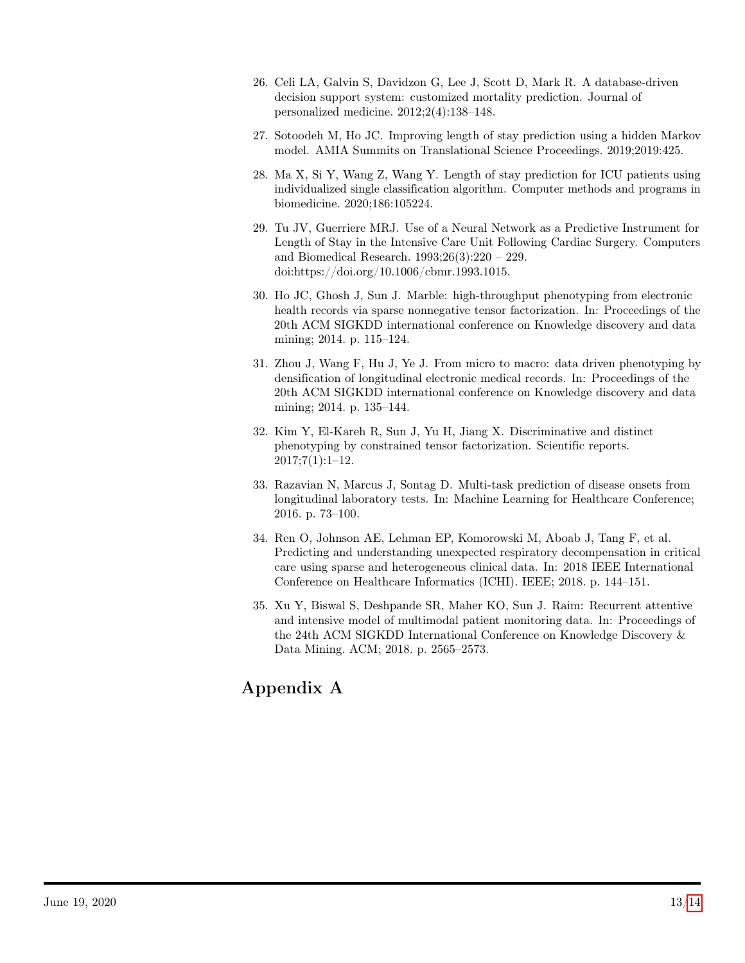- <span id="page-12-0"></span>26. Celi LA, Galvin S, Davidzon G, Lee J, Scott D, Mark R. A database-driven decision support system: customized mortality prediction. Journal of personalized medicine. 2012;2(4):138–148.
- <span id="page-12-1"></span>27. Sotoodeh M, Ho JC. Improving length of stay prediction using a hidden Markov model. AMIA Summits on Translational Science Proceedings. 2019;2019:425.
- <span id="page-12-2"></span>28. Ma X, Si Y, Wang Z, Wang Y. Length of stay prediction for ICU patients using individualized single classification algorithm. Computer methods and programs in biomedicine. 2020;186:105224.
- <span id="page-12-3"></span>29. Tu JV, Guerriere MRJ. Use of a Neural Network as a Predictive Instrument for Length of Stay in the Intensive Care Unit Following Cardiac Surgery. Computers and Biomedical Research. 1993;26(3):220 – 229. doi:https://doi.org/10.1006/cbmr.1993.1015.
- <span id="page-12-4"></span>30. Ho JC, Ghosh J, Sun J. Marble: high-throughput phenotyping from electronic health records via sparse nonnegative tensor factorization. In: Proceedings of the 20th ACM SIGKDD international conference on Knowledge discovery and data mining; 2014. p. 115–124.
- <span id="page-12-5"></span>31. Zhou J, Wang F, Hu J, Ye J. From micro to macro: data driven phenotyping by densification of longitudinal electronic medical records. In: Proceedings of the 20th ACM SIGKDD international conference on Knowledge discovery and data mining; 2014. p. 135–144.
- <span id="page-12-6"></span>32. Kim Y, El-Kareh R, Sun J, Yu H, Jiang X. Discriminative and distinct phenotyping by constrained tensor factorization. Scientific reports. 2017;7(1):1–12.
- <span id="page-12-7"></span>33. Razavian N, Marcus J, Sontag D. Multi-task prediction of disease onsets from longitudinal laboratory tests. In: Machine Learning for Healthcare Conference; 2016. p. 73–100.
- <span id="page-12-8"></span>34. Ren O, Johnson AE, Lehman EP, Komorowski M, Aboab J, Tang F, et al. Predicting and understanding unexpected respiratory decompensation in critical care using sparse and heterogeneous clinical data. In: 2018 IEEE International Conference on Healthcare Informatics (ICHI). IEEE; 2018. p. 144–151.
- <span id="page-12-9"></span>35. Xu Y, Biswal S, Deshpande SR, Maher KO, Sun J. Raim: Recurrent attentive and intensive model of multimodal patient monitoring data. In: Proceedings of the 24th ACM SIGKDD International Conference on Knowledge Discovery & Data Mining. ACM; 2018. p. 2565–2573.

# Appendix A